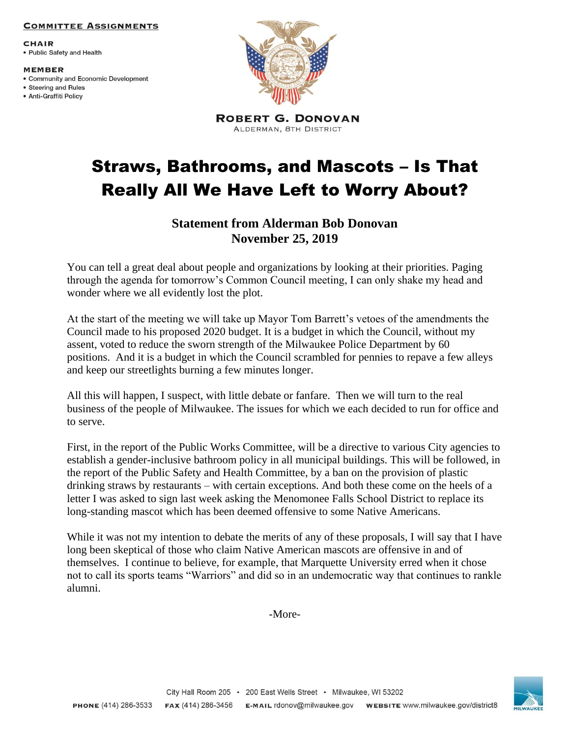## **COMMITTEE ASSIGNMENTS**

**CHAIR** • Public Safety and Health

**MEMBER** 

- Community and Economic Development
- Steering and Rules · Anti-Graffiti Policy



**ROBERT G. DONOVAN** ALDERMAN, 8TH DISTRICT

## Straws, Bathrooms, and Mascots – Is That Really All We Have Left to Worry About?

## **Statement from Alderman Bob Donovan November 25, 2019**

You can tell a great deal about people and organizations by looking at their priorities. Paging through the agenda for tomorrow's Common Council meeting, I can only shake my head and wonder where we all evidently lost the plot.

At the start of the meeting we will take up Mayor Tom Barrett's vetoes of the amendments the Council made to his proposed 2020 budget. It is a budget in which the Council, without my assent, voted to reduce the sworn strength of the Milwaukee Police Department by 60 positions. And it is a budget in which the Council scrambled for pennies to repave a few alleys and keep our streetlights burning a few minutes longer.

All this will happen, I suspect, with little debate or fanfare. Then we will turn to the real business of the people of Milwaukee. The issues for which we each decided to run for office and to serve.

First, in the report of the Public Works Committee, will be a directive to various City agencies to establish a gender-inclusive bathroom policy in all municipal buildings. This will be followed, in the report of the Public Safety and Health Committee, by a ban on the provision of plastic drinking straws by restaurants – with certain exceptions. And both these come on the heels of a letter I was asked to sign last week asking the Menomonee Falls School District to replace its long-standing mascot which has been deemed offensive to some Native Americans.

While it was not my intention to debate the merits of any of these proposals, I will say that I have long been skeptical of those who claim Native American mascots are offensive in and of themselves. I continue to believe, for example, that Marquette University erred when it chose not to call its sports teams "Warriors" and did so in an undemocratic way that continues to rankle alumni.

-More-